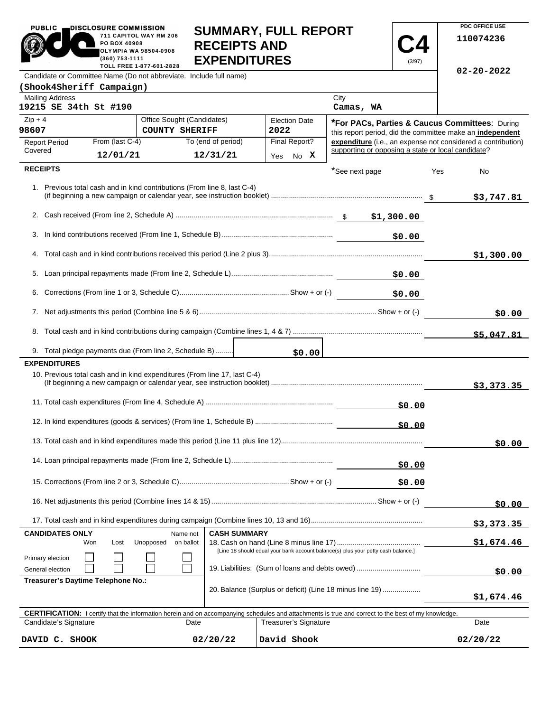| <b>PUBLIC</b><br>DISCLOSURE COMMISSION                                                                                                                                      |                                                 | <b>SUMMARY, FULL REPORT</b>                |      |                      |                                                    |          | PDC OFFICE USE                                               |
|-----------------------------------------------------------------------------------------------------------------------------------------------------------------------------|-------------------------------------------------|--------------------------------------------|------|----------------------|----------------------------------------------------|----------|--------------------------------------------------------------|
| PO BOX 40908<br>(360) 753-1111                                                                                                                                              | 711 CAPITOL WAY RM 206<br>OLYMPIA WA 98504-0908 | <b>RECEIPTS AND</b><br><b>EXPENDITURES</b> |      |                      |                                                    | (3/97)   | 110074236                                                    |
| Candidate or Committee Name (Do not abbreviate. Include full name)                                                                                                          | TOLL FREE 1-877-601-2828                        |                                            |      |                      |                                                    |          | $02 - 20 - 2022$                                             |
| (Shook4Sheriff Campaign)                                                                                                                                                    |                                                 |                                            |      |                      |                                                    |          |                                                              |
| <b>Mailing Address</b><br>19215 SE 34th St #190                                                                                                                             |                                                 |                                            |      |                      | City<br>Camas, WA                                  |          |                                                              |
| $Zip + 4$                                                                                                                                                                   | Office Sought (Candidates)                      |                                            |      | <b>Election Date</b> |                                                    |          | *For PACs, Parties & Caucus Committees: During               |
| 98607                                                                                                                                                                       | <b>COUNTY SHERIFF</b>                           |                                            | 2022 |                      |                                                    |          | this report period, did the committee make an independent    |
| From (last C-4)<br><b>Report Period</b><br>Covered<br>12/01/21                                                                                                              |                                                 | To (end of period)<br>12/31/21             |      | Final Report?        | supporting or opposing a state or local candidate? |          | expenditure (i.e., an expense not considered a contribution) |
| <b>RECEIPTS</b>                                                                                                                                                             |                                                 |                                            |      | Yes No X             |                                                    |          |                                                              |
| 1. Previous total cash and in kind contributions (From line 8, last C-4)                                                                                                    |                                                 |                                            |      |                      | *See next page                                     |          | Yes<br>No<br>\$3,747.81                                      |
|                                                                                                                                                                             |                                                 |                                            |      |                      |                                                    |          |                                                              |
|                                                                                                                                                                             |                                                 |                                            |      |                      |                                                    | \$0.00   |                                                              |
|                                                                                                                                                                             |                                                 |                                            |      |                      |                                                    |          | \$1,300.00                                                   |
|                                                                                                                                                                             |                                                 |                                            |      |                      |                                                    | \$0.00   |                                                              |
|                                                                                                                                                                             |                                                 |                                            |      |                      |                                                    | \$0.00   |                                                              |
|                                                                                                                                                                             |                                                 |                                            |      |                      |                                                    |          | \$0.00                                                       |
|                                                                                                                                                                             |                                                 |                                            |      |                      |                                                    |          | \$5.047.81                                                   |
| 9. Total pledge payments due (From line 2, Schedule B)                                                                                                                      |                                                 |                                            |      | \$0.00               |                                                    |          |                                                              |
| <b>EXPENDITURES</b>                                                                                                                                                         |                                                 |                                            |      |                      |                                                    |          |                                                              |
| 10. Previous total cash and in kind expenditures (From line 17, last C-4)                                                                                                   |                                                 |                                            |      |                      |                                                    |          | \$3,373.35                                                   |
|                                                                                                                                                                             |                                                 |                                            |      |                      |                                                    | \$0.00   |                                                              |
|                                                                                                                                                                             |                                                 |                                            |      |                      |                                                    | \$0.00   |                                                              |
|                                                                                                                                                                             |                                                 |                                            |      |                      |                                                    |          | \$0.00                                                       |
|                                                                                                                                                                             |                                                 |                                            |      |                      |                                                    | \$0.00   |                                                              |
| \$0.00                                                                                                                                                                      |                                                 |                                            |      |                      |                                                    |          |                                                              |
|                                                                                                                                                                             |                                                 |                                            |      |                      |                                                    |          | \$0.00                                                       |
|                                                                                                                                                                             |                                                 |                                            |      |                      |                                                    |          | <u>\$3,373.35</u>                                            |
| <b>CASH SUMMARY</b><br><b>CANDIDATES ONLY</b><br>Name not<br>Unopposed<br>on ballot<br>Won<br>Lost                                                                          |                                                 |                                            |      |                      | \$1,674.46                                         |          |                                                              |
| [Line 18 should equal your bank account balance(s) plus your petty cash balance.]<br>Primary election<br>19. Liabilities: (Sum of loans and debts owed)<br>General election |                                                 |                                            |      |                      | \$0.00                                             |          |                                                              |
| Treasurer's Daytime Telephone No.:<br>20. Balance (Surplus or deficit) (Line 18 minus line 19)                                                                              |                                                 |                                            |      |                      | \$1,674.46                                         |          |                                                              |
| <b>CERTIFICATION:</b> I certify that the information herein and on accompanying schedules and attachments is true and correct to the best of my knowledge.                  |                                                 |                                            |      |                      |                                                    |          |                                                              |
| Candidate's Signature<br>Treasurer's Signature<br>Date                                                                                                                      |                                                 |                                            |      |                      | Date                                               |          |                                                              |
| DAVID C. SHOOK                                                                                                                                                              | 02/20/22<br>David Shook                         |                                            |      |                      |                                                    | 02/20/22 |                                                              |